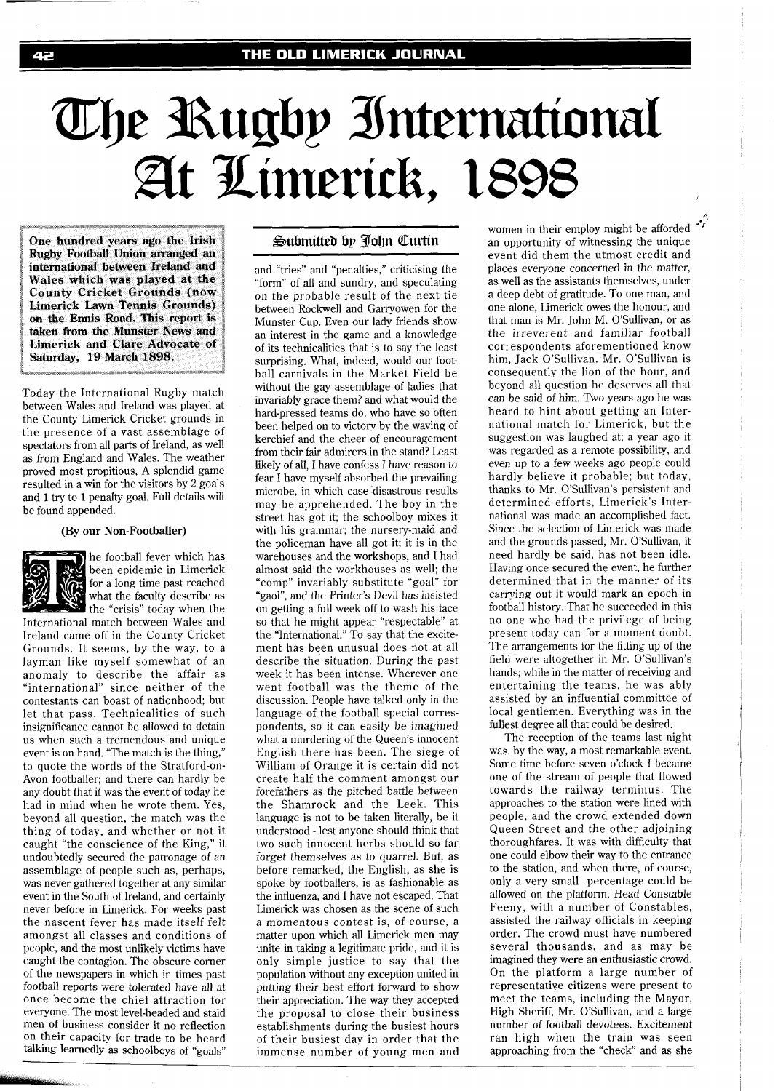# The Rugby International<br>At Limerick, 1898

**One hundred years ago the Irish Rugby Football Union arranged an international between Ireland and Wales which was played at the County Cricket Grounds (now Limerick Lawn Tennis Grounds) on the Ennis Road. This report is taken from the Munster News and Limerick and Clare Advocate of Saturday, 19 March 1898.** 

Today the International Rugby match between Wales and Ireland was played at the County Limerick Cricket grounds in the presence of a vast assemblage of spectators from all parts of Ireland, as well as from England and Wales. The weather proved most propitious, A splendid game resulted in a win for the visitors by 2 goals and 1 try to 1 penalty goal. Full details will be found appended.

### **(By our Non-Footballer)**



he football fever which has been epidemic in Limerick for a long time past reached what the faculty describe as

International match between Wales and Ireland came off in the County Cricket Grounds. It seems, by the way, to a layman like myself somewhat of an anomaly to describe the affair as "international" since neither of the contestants can boast of nationhood; but let that pass. Technicalities of such insignificance cannot be allowed to detain us when such a tremendous and unique event is on hand. "The match is the thing," to quote the words of the Stratford-on-Avon footballer; and there can hardly be any doubt that it was the event of today he had in mind when he wrote them. Yes, beyond all question, the match was the thing of today, and whether or not it caught "the conscience of the King," it undoubtedly secured the patronage of an assemblage of people such as, perhaps, was never gathered together at any similar event in the South of Ireland, and certainly never before in Limerick. For weeks past the nascent fever has made itself felt amongst all classes and conditions of people, and the most unlikely victims have caught the contagion. The obscure corner of the newspapers in which in times past football reports were tolerated have all at once become the chief attraction for men of business consider it no reflection on their capacity for trade to be heard talking learnedly as schoolboys of "goals"

# Submitted by John Curtin

and "tries" and "penalties," criticising the "form" of all and sundry, and speculating on the probable result of the next tie between Rockwell and Garryowen for the Munster Cup. Even our lady friends show an interest in the game and a knowledge of its technicalities that is to say the least surprising. What, indeed, would our football carnivals in the Market Field be without the gay assemblage of ladies that invariably grace them? and what would the hard-pressed teams do, who have so often been helped on to victory by the waving of kerchief and the cheer of encouragement from their fair admirers in the stand? Least likely of all, I have confess I have reason to fear I have myself absorbed the prevailing microbe, in which case disastrous results may be apprehended. The boy in the street has got it; the schoolboy mixes it with his grammar; the nursery-maid and the policeman have all got it; it is in the warehouses and the workshops, and I had almost said the workhouses as well; the "comp" invariably substitute "goal" for "gaol", and the Printer's Devil has insisted on getting a full week off to wash his face so that he might appear "respectable" at the "International." To say that the excitement has been unusual does not at all describe the situation. During the past week it has been intense. Wherever one went football was the theme of the discussion. People have talked only in the language of the football special correspondents, so it can easily be imagined what a murdering of the Queen's innocent English there has been. The siege of William of Orange it is certain did not create half the comment amongst our forefathers as the pitched battle between the Shamrock and the Leek. This language is not to be taken literally, be it understood - lest anyone should think that two such innocent herbs should so far forget themselves as to quarrel. But, as before remarked, the English, as she is spoke by footballers, is as fashionable as the influenza, and I have not escaped. That Limerick was chosen as the scene of such a momentous contest is, of course, a matter upon which all Limerick men may unite in taking a legitimate pride, and it is only simple justice to say that the population without any exception united in putting their best effort forward to show their appreciation. The way they accepted the proposal to close their business establishments during the busiest hours of their busiest day in order that the immense number of young men and

women in their employ might be afforded ''<sup>'</sup><br>an opportunity of witnessing the unique event did them the utmost credit and places everyone concerned in the matter, as well as the assistants themselves, under a deep debt of gratitude. To one man, and one alone, Limerick owes the honour, and that man is Mr. John M. O'Sullivan, or as the irreverent and familiar football correspondents aforementioned know him, Jack O'Sullivan. Mr. O'Sullivan is consequently the lion of the hour, and beyond all question he deserves all that can be said of him. Two years ago he was heard to hint about getting an International match for Limerick, but the suggestion was laughed at; a year ago it was regarded as a remote possibility, and even up to a few weeks ago people could hardly believe it probable; but today, thanks to Mr. O'Sullivan's persistent and determined efforts, Limerick's International was made an accomplished fact. Since the selection of Limerick was made and the grounds passed, Mr. O'Sullivan, it need hardly be said, has not been idle. Having once secured the event, he further determined that in the manner of its carrying out it would mark an epoch in football history. That he succeeded in this no one who had the privilege of being present today can for a moment doubt. The arrangements for the fitting up of the field were altogether in Mr. O'Sullivan's hands; while in the matter of receiving and entertaining the teams, he was ably assisted by an influential committee of local gentlemen. Everything was in the fullest degree all that could be desired.

The reception of the teams last night was, by the way, a most remarkable event. Some time before seven o'clock I became one of the stream of people that flowed towards the railway terminus. The approaches to the station were lined with people, and the crowd extended down Queen Street and the other adjoining thoroughfares. It was with difficulty that one could elbow their way to the entrance to the station, and when there, of course, only a very small percentage could be allowed on the platform. Head Constable Feeny, with a number of Constables, assisted the railway officials in keeping order. The crowd must have numbered several thousands, and as may be imagined they were an enthusiastic crowd. On the platform a large number of representative citizens were present to meet the teams, including the Mayor, High Sheriff, Mr. O'Sullivan, and a large number of football devotees. Excitement ran high when the train was seen approaching from the "check" and as she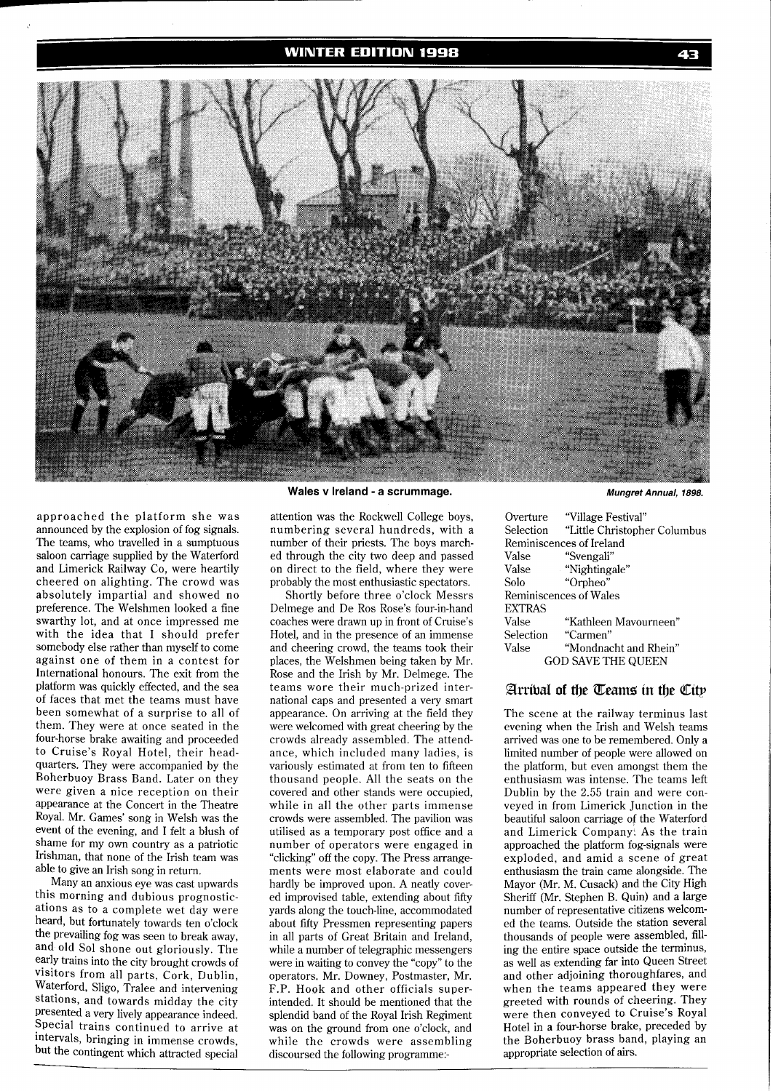# **WINTER EDITION 1998**



approached the platform she was announced by the explosion of fog signals. The teams, who travelled in a sumptuous saloon carriage supplied by the Waterford and Limerick Railway Co, were heartily cheered on alighting. The crowd was absolutely impartial and showed no preference. The Welshmen looked a fine swarthy lot, and at once impressed me with the idea that I should prefer somebody else rather than myself to come against one of them in a contest for International honours. The exit from the platform was quickly effected, and the sea of faces that met the teams must have been somewhat of a surprise to all of them. They were at once seated in the four-horse brake awaiting and proceeded to Cruise's Royal Hotel, their headquarters. They were accompanied by the Boherbuoy Brass Band. Later on they were given a nice reception on their appearance at the Concert in the Theatre Royal. Mr. Games' song in Welsh was the event of the evening, and I felt a blush of shame for my own country as a patriotic Irishman, that none of the Irish team was able to give an Irish song in return.

Many an anxious eye was cast upwards this morning and dubious prognostications as to a complete wet day were heard, but fortunately towards ten o'clock the prevailing fog was seen to break away, and old Sol shone out gloriously. The early trains into the city brought crowds of visitors from all parts, Cork, Dublin, Waterford, Sligo, Tralee and intervening stations, and towards midday the city presented a very lively appearance indeed. Special trains continued to arrive at intervals, bringing in immense crowds, but the contingent which attracted special

# Wales v Ireland - a scrummage. **Wales v Ireland - a scrummage. Mungret Annual**, 1898.

attention was the Rockwell College boys, numbering several hundreds, with a number of their priests. The boys marched through the city two deep and passed on direct to the field, where they were probably the most enthusiastic spectators.

Shortly before three o'clock Messrs Delmege and De Ros Rose's four-in-hand coaches were drawn up in front of Cruise's Hotel, and in the presence of an immense and cheering crowd, the teams took their places, the Welshmen being taken by Mr. Rose and the Irish by Mr. Delmege. The teams wore their much-prized international caps and presented a very smart appearance. On arriving at the field they were welcomed with great cheering by the crowds already assembled. The attendance, which included many ladies, is variously estimated at from ten to fifteen thousand people. All the seats on the covered and other stands were occupied, while in all the other parts immense crowds were assembled. The pavilion was utilised as a temporary post office and a number of operators were engaged in "clicking" off the copy. The Press arrangements were most elaborate and could hardly be improved upon. A neatly covered improvised table, extending about fifty yards along the touch-line, accommodated about fifty Pressmen representing papers in all parts of Great Britain and Ireland, while a number of telegraphic messengers were in waiting to convey the "copy" to the operators, Mr. Downey, Postmaster, Mr. F.P. Hook and other officials superintended. It should be mentioned that the splendid band of the Royal Irish Regiment was on the ground from one o'clock, and while the crowds were assembling discoursed the following programme:-

43

|                           | Selection "Little Christopher Columbus |  |  |  |
|---------------------------|----------------------------------------|--|--|--|
| Reminiscences of Ireland  |                                        |  |  |  |
| Valse                     | "Svengali"                             |  |  |  |
| Valse                     | "Nightingale"                          |  |  |  |
| Solo                      | "Orpheo"                               |  |  |  |
| Reminiscences of Wales    |                                        |  |  |  |
| EXTRAS                    |                                        |  |  |  |
| Valse                     | "Kathleen Mavourneen"                  |  |  |  |
|                           | Selection "Carmen"                     |  |  |  |
| Valse                     | "Mondnacht and Rhein"                  |  |  |  |
| <b>GOD SAVE THE QUEEN</b> |                                        |  |  |  |
|                           |                                        |  |  |  |

# Arribal of the Teams in the City

The scene at the railway terminus last evening when the Irish and Welsh teams arrived was one to be remembered. Only a limited number of people were allowed on the platform, but even amongst them the enthusiasm was intense. The teams left Dublin by the 2.55 train and were conveyed in from Limerick Junction in the beautiful saloon carriage of the Waterford and Limerick Company. As the train approached the platform fog-signals were exploded, and amid a scene of great enthusiasm the train came alongside. The Mayor (Mr. M. Cusack) and the City High Sheriff (Mr. Stephen B. Quin) and a large number of representative citizens welcomed the teams. Outside the station several thousands of people were assembled, filling the entire space outside the terminus, as well as extending far into Queen Street and other adjoining thoroughfares, and when the teams appeared they were greeted with rounds of cheering. They were then conveyed to Cruise's Royal Hotel in a four-horse brake, preceded by the Boherbuoy brass band, playing an appropriate selection of airs.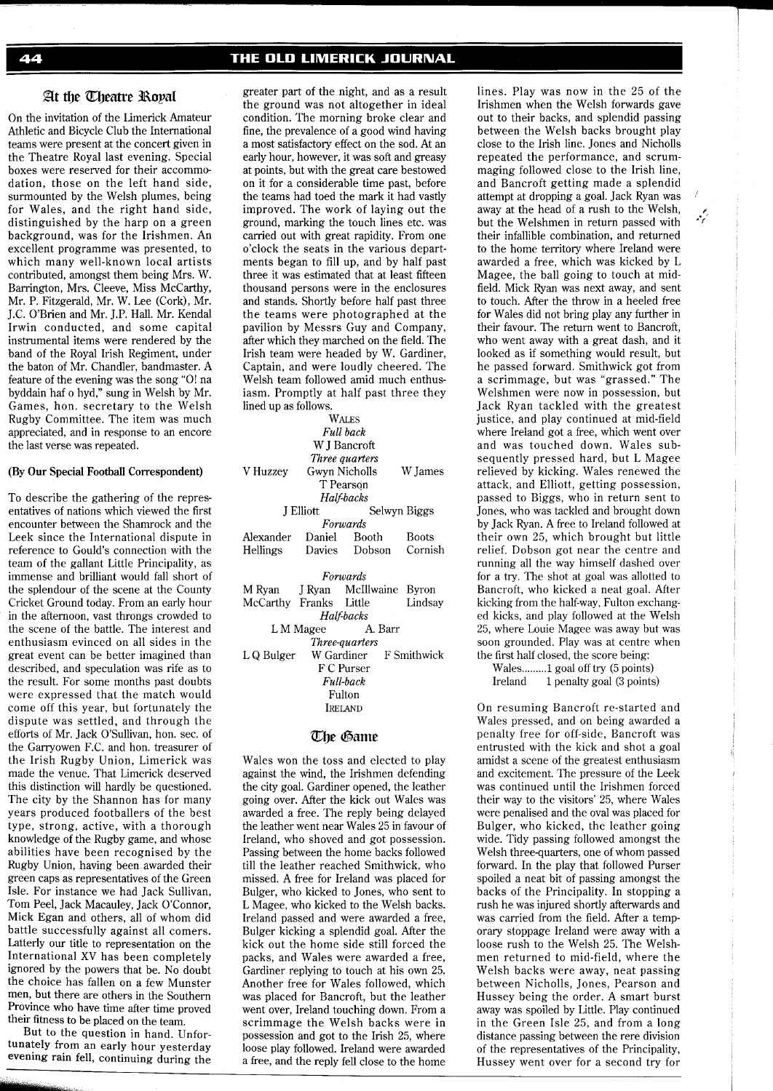# THE OLD LIMERICK JOURNAL

# At the *Cheatre* Royal

On the invitation of the Limerick Amateur Athletic and Bicycle Club the International teams were present at the concert given in the Theatre Royal last evening. Special boxes were reserved for their accommodation, those on the left hand side, surmounted by the Welsh plumes, being for Wales, and the right hand side, distinguished by the harp on a green background, was for the Irishmen. An excellent programme was presented, to which many well-known local artists contributed, amongst them being Mrs. W. Barrington, Mrs. Cleeve, Miss McCarthy, Mr. P. Fitzgerald, Mr. W. Lee (Cork), Mr. J.C. O'Brien and Mr. J.P. Hall. Mr. Kendal Irwin conducted, and some capital instrumental items were rendered by the band of the Royal Irish Regiment, under the baton of Mr. Chandler, bandmaster. A feature of the evening was the song "O! na byddain haf o hyd," sung in Welsh by Mr. Games, hon. secretary to the Welsh Rugby Committee. The item was much appreciated, and in response to an encore the last verse was repeated.

### (By **Our** Special Football Correspondent)

To describe the gathering of the representatives of nations which viewed the first encounter between the Shamrock and the Leek since the International dispute in reference to Gould's connection with the team of the gallant Little Principality, as immense and brilliant would fall short of the splendour of the scene at the County Cricket Ground today. From an early hour in the afternoon, vast throngs crowded to the scene of the battle. The interest and enthusiasm evinced on all sides in the great event can be better imagined than described, and speculation was rife as to the result. For some months past doubts were expressed that the match would come off this year, but fortunately the dispute was settled, and through the efforts of Mr. Jack O'Sullivan, hon. sec. of the Garryowen F.C. and hon. treasurer of the Irish Rugby Union, Limerick was made the venue. That Limerick deserved this distinction will hardly be questioned. The city by the Shannon has for many years produced footballers of the best type, strong, active, with a thorough knowledge of the Rugby game, and whose abilities have been recognised by the Rugby Union, having been awarded their green caps as representatives of the Green Isle. For instance we had Jack Sullivan, Tom Peel, Jack Macauley, Jack O'Connor, Mick Egan and others, all of whom did battle successfully against all comers. Latterly our title to representation on the International XV has been completely ignored by the powers that be. No doubt the choice has fallen on a few Munster men, but there are others in the Southern Province who have time after time proved their fitness to be placed on the team.

But to the question in hand. Unfortunately from an early hour yesterday evening rain fell, continuing during the greater part of the night, and as a result the ground was not altogether in ideal condition. The morning broke clear and fine, the prevalence of a good wind having a most satisfactory effect on the sod. At an early hour, however, it was soft and greasy at points, but with the great care bestowed on it for a considerable time past, before the teams had toed the mark it had vastly improved. The work of laying out the ground, marking the touch lines etc. was carried out with great rapidity. From one o'clock the seats in the various departments began to fill up, and by half past three it was estimated that at least fifteen thousand persons were in the enclosures and stands. Shortly before half past three the teams were photographed at the pavilion by Messrs Guy and Company, after which they marched on the field. The Irish team were headed by W. Gardiner, Captain, and were loudly cheered. The Welsh team followed amid much enthusiasm. Promptly at half past three they lined up as follows.

| WALES                            |                          |                                |         |  |
|----------------------------------|--------------------------|--------------------------------|---------|--|
| <b>Full</b> back                 |                          |                                |         |  |
| W J Bancroft                     |                          |                                |         |  |
| Three quarters                   |                          |                                |         |  |
| V Huzzey                         | Gwyn Nicholls<br>W James |                                |         |  |
| T Pearson                        |                          |                                |         |  |
| Half-backs                       |                          |                                |         |  |
|                                  | <b>J</b> Elliott         | Selwyn Biggs                   |         |  |
| Forwards                         |                          |                                |         |  |
|                                  |                          | Alexander Daniel Booth Boots   |         |  |
| Hellings                         |                          | Davies Dobson Cornish          |         |  |
|                                  |                          |                                |         |  |
| Forwards                         |                          |                                |         |  |
|                                  |                          | M Ryan J Ryan McIllwaine Byron |         |  |
|                                  |                          | McCarthy Franks Little         | Lindsay |  |
| Half-backs                       |                          |                                |         |  |
| LM Magee A. Barr                 |                          |                                |         |  |
| Three-guarters                   |                          |                                |         |  |
| LQ Bulger W Gardiner F Smithwick |                          |                                |         |  |
| F C Purser                       |                          |                                |         |  |
| Full-back                        |                          |                                |         |  |
| Fulton                           |                          |                                |         |  |
| <b>IRELAND</b>                   |                          |                                |         |  |
|                                  |                          |                                |         |  |

# **The Game**

Wales won the toss and elected to play against the wind, the Irishmen defending the city goal. Gardiner opened, the leather going over. After the kick out Wales was awarded a free. The reply being delayed the leather went near Wales 25 in favour of Ireland, who shoved and got possession. Passing between the home backs followed till the leather reached Smithwick, who missed. A free for Ireland was placed for Bulger, who kicked to Jones, who sent to L Magee, who kicked to the Welsh backs. Ireland passed and were awarded a free, Bulger kicking a splendid goal. After the kick out the home side still forced the packs, and Wales were awarded a free, Gardiner replying to touch at his own 25. Another free for Wales followed, which was placed for Bancroft, but the leather went over, Ireland touching down. From a scrimmage the Welsh backs were in possession and got to the Irish 25, where loose play followed. Ireland were awarded a free, and the reply fell close to the home

lines. Play was now in the 25 of the Irishmen when the Welsh forwards gave out to their backs, and splendid passing between the Welsh backs brought play close to the Irish line. Jones and Nicholls repeated the performance, and scrummaging followed close to the Irish line, and Bancroft getting made a splendid attempt at dropping a goal. Jack Ryan was away at the head of a rush to the Welsh, but the Welshmen in return passed with their infallible combination, and returned to the home territory where Ireland were awarded a free, which was kicked by L Magee, the ball going to touch at midfield. Mick Ryan was next away, and sent to touch. After the throw in a heeled free for Wales did not bring play any further in their favour. The return went to Bancroft, who went away with a great dash, and it looked as if something would result, but he passed forward. Smithwick got from a scrimmage, but was "grassed." The Welshmen were now in possession, but Jack Ryan tackled with the justice, and play continued at mid-field where Ireland got a free, which went over and was touched down. Wales subsequently pressed hard, but L Magee relieved by kicking. Wales renewed the attack, and Elliott, getting possession, passed to Biggs, who in return sent to Jones, who was tackled and brought down by Jack Ryan. A free to Ireland followed at their own 25, which brought but little relief. Dobson got near the centre and running all the way himself dashed over for a try. The shot at goal was allotted to Bancroft, who kicked a neat goal. After kicking from the half-way, Fulton exchanged kicks, and play followed at the Welsh 25, where Louie Magee was away but was soon grounded. Play was at centre when the first half closed, the score being:

Wales.........1 goal off try (5 points)<br>Ireland 1 penalty goal (3 points) 1 penalty goal (3 points)

On resuming Bancroft re-started and Wales pressed, and on being awarded a penalty free for off-side, Bancroft was entrusted with the kick and shot a goal amidst a scene of the greatest enthusiasm and excitement. The pressure of the Leek was continued until the Irishmen forced their way to the visitors' 25, where Wales were penalised and the oval was placed for Bulger, who kicked, the leather going wide. Tidy passing followed amongst the Welsh three-quarters, one of whom passed forward. In the play that followed Purser spoiled a neat bit of passing amongst the backs of the Principality. In stopping a rush he was injured shortly afterwards and was carried from the field. After a temporary stoppage Ireland were away with a loose rush to the Welsh 25. The Welshmen returned to mid-field, where the Welsh backs were away, neat passing between Nicholls, Jones, Pearson and Hussey being the order. A smart burst away was spoiled by Little. Play continued in the Green Isle 25, and from a long distance passing between the rere division of the representatives of the Principality, Hussey went over for a second try for